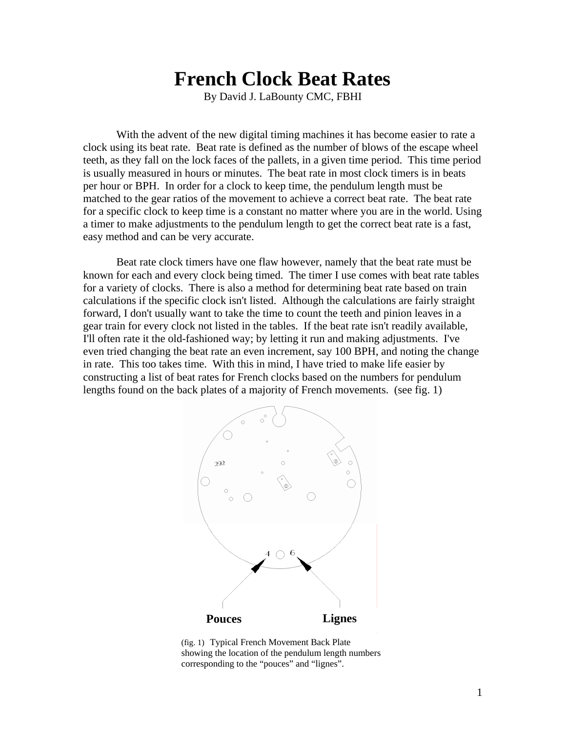# **French Clock Beat Rates**

By David J. LaBounty CMC, FBHI

 With the advent of the new digital timing machines it has become easier to rate a clock using its beat rate. Beat rate is defined as the number of blows of the escape wheel teeth, as they fall on the lock faces of the pallets, in a given time period. This time period is usually measured in hours or minutes. The beat rate in most clock timers is in beats per hour or BPH. In order for a clock to keep time, the pendulum length must be matched to the gear ratios of the movement to achieve a correct beat rate. The beat rate for a specific clock to keep time is a constant no matter where you are in the world. Using a timer to make adjustments to the pendulum length to get the correct beat rate is a fast, easy method and can be very accurate.

 Beat rate clock timers have one flaw however, namely that the beat rate must be known for each and every clock being timed. The timer I use comes with beat rate tables for a variety of clocks. There is also a method for determining beat rate based on train calculations if the specific clock isn't listed. Although the calculations are fairly straight forward, I don't usually want to take the time to count the teeth and pinion leaves in a gear train for every clock not listed in the tables. If the beat rate isn't readily available, I'll often rate it the old-fashioned way; by letting it run and making adjustments. I've even tried changing the beat rate an even increment, say 100 BPH, and noting the change in rate. This too takes time. With this in mind, I have tried to make life easier by constructing a list of beat rates for French clocks based on the numbers for pendulum lengths found on the back plates of a majority of French movements. (see fig. 1)



(fig. 1) Typical French Movement Back Plate showing the location of the pendulum length numbers corresponding to the "pouces" and "lignes".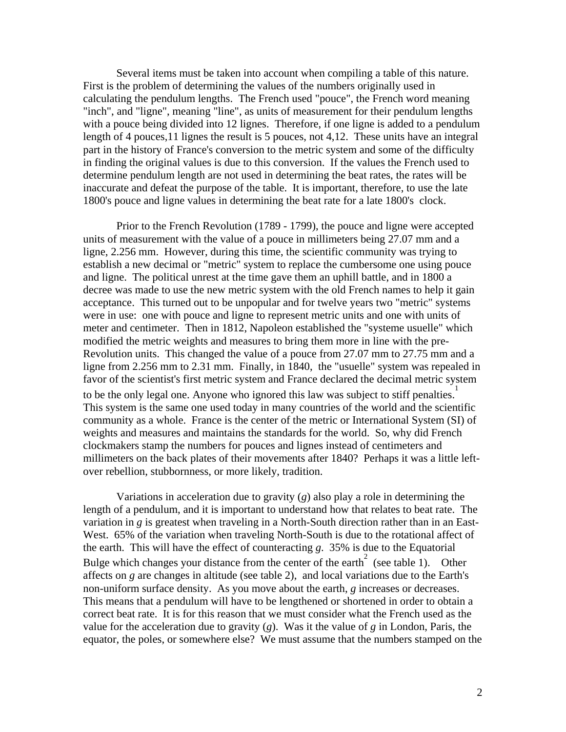Several items must be taken into account when compiling a table of this nature. First is the problem of determining the values of the numbers originally used in calculating the pendulum lengths. The French used "pouce", the French word meaning "inch", and "ligne", meaning "line", as units of measurement for their pendulum lengths with a pouce being divided into 12 lignes. Therefore, if one ligne is added to a pendulum length of 4 pouces,11 lignes the result is 5 pouces, not 4,12. These units have an integral part in the history of France's conversion to the metric system and some of the difficulty in finding the original values is due to this conversion. If the values the French used to determine pendulum length are not used in determining the beat rates, the rates will be inaccurate and defeat the purpose of the table. It is important, therefore, to use the late 1800's pouce and ligne values in determining the beat rate for a late 1800's clock.

 Prior to the French Revolution (1789 - 1799), the pouce and ligne were accepted units of measurement with the value of a pouce in millimeters being 27.07 mm and a ligne, 2.256 mm. However, during this time, the scientific community was trying to establish a new decimal or "metric" system to replace the cumbersome one using pouce and ligne. The political unrest at the time gave them an uphill battle, and in 1800 a decree was made to use the new metric system with the old French names to help it gain acceptance. This turned out to be unpopular and for twelve years two "metric" systems were in use: one with pouce and ligne to represent metric units and one with units of meter and centimeter. Then in 1812, Napoleon established the "systeme usuelle" which modified the metric weights and measures to bring them more in line with the pre-Revolution units. This changed the value of a pouce from 27.07 mm to 27.75 mm and a ligne from 2.256 mm to 2.31 mm. Finally, in 1840, the "usuelle" system was repealed in favor of the scientist's first metric system and France declared the decimal metric system to be the only legal one. Anyone who ignored this law was subject to stiff penalties.<sup>1</sup> This system is the same one used today in many countries of the world and the scientific community as a whole. France is the center of the metric or International System (SI) of weights and measures and maintains the standards for the world. So, why did French clockmakers stamp the numbers for pouces and lignes instead of centimeters and millimeters on the back plates of their movements after 1840? Perhaps it was a little leftover rebellion, stubbornness, or more likely, tradition.

 Variations in acceleration due to gravity (*g*) also play a role in determining the length of a pendulum, and it is important to understand how that relates to beat rate. The variation in *g* is greatest when traveling in a North-South direction rather than in an East-West. 65% of the variation when traveling North-South is due to the rotational affect of the earth. This will have the effect of counteracting *g*. 35% is due to the Equatorial Bulge which changes your distance from the center of the earth<sup>2</sup> (see table 1). Other affects on *g* are changes in altitude (see table 2), and local variations due to the Earth's non-uniform surface density. As you move about the earth, *g* increases or decreases. This means that a pendulum will have to be lengthened or shortened in order to obtain a correct beat rate. It is for this reason that we must consider what the French used as the value for the acceleration due to gravity  $(g)$ . Was it the value of  $g$  in London, Paris, the equator, the poles, or somewhere else? We must assume that the numbers stamped on the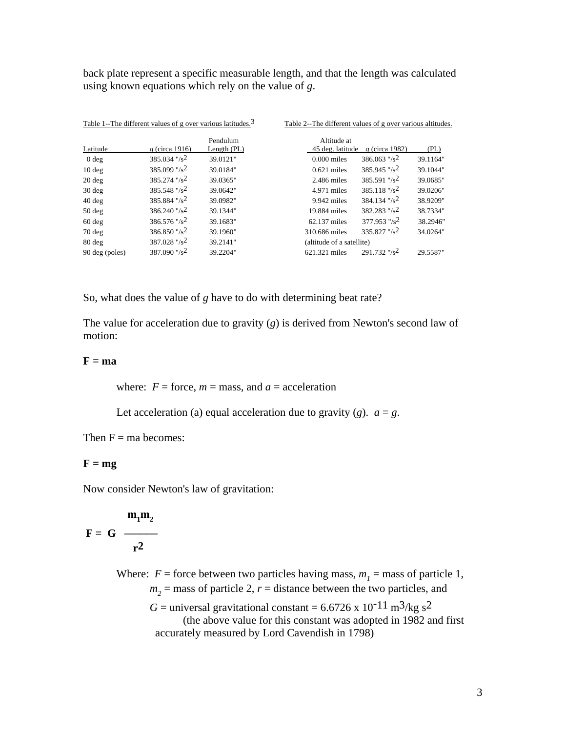back plate represent a specific measurable length, and that the length was calculated using known equations which rely on the value of *g*.

|                  | Table 1--The different values of g over various latitudes. <sup>3</sup> |               | Table 2--The different values of g over various altitudes. |          |  |
|------------------|-------------------------------------------------------------------------|---------------|------------------------------------------------------------|----------|--|
|                  |                                                                         | Pendulum      | Altitude at                                                |          |  |
| Latitude         | g (circa 1916)                                                          | Length $(PL)$ | 45 deg. latitude<br>g (circa 1982)                         | (PL)     |  |
| $0$ deg          | $385.034$ "/s <sup>2</sup>                                              | 39.0121"      | $386.063$ "/s <sup>2</sup><br>$0.000$ miles                | 39.1164" |  |
| $10$ deg         | 385.099 "/s <sup>2</sup>                                                | 39.0184"      | $385.945$ "/s <sup>2</sup><br>$0.621$ miles                | 39.1044" |  |
| $20$ deg         | $385.274$ "/s <sup>2</sup>                                              | 39.0365"      | $385.591$ "/s <sup>2</sup><br>$2.486$ miles                | 39.0685" |  |
| $30$ deg         | $385.548$ "/s <sup>2</sup>                                              | 39.0642"      | $385.118$ "/s <sup>2</sup><br>$4.971$ miles                | 39.0206" |  |
| $40$ deg         | 385.884 "/s <sup>2</sup>                                                | 39.0982"      | $384.134$ "/s <sup>2</sup><br>$9.942$ miles                | 38.9209" |  |
| $50$ deg         | $386.240$ "/s <sup>2</sup>                                              | 39.1344"      | $382.283$ "/s <sup>2</sup><br>19.884 miles                 | 38.7334" |  |
| $60$ deg         | $386.576$ "/s <sup>2</sup>                                              | 39.1683"      | $377.953$ "/s <sup>2</sup><br>62.137 miles                 | 38.2946" |  |
| $70$ deg         | $386.850$ "/s <sup>2</sup>                                              | 39.1960"      | $335.827$ "/s <sup>2</sup><br>310.686 miles                | 34.0264" |  |
| $80 \text{ deg}$ | $387.028$ "/s <sup>2</sup>                                              | 39.2141"      | (altitude of a satellite)                                  |          |  |
| 90 deg (poles)   | $387.090$ "/s <sup>2</sup>                                              | 39.2204"      | $291.732$ "/s <sup>2</sup><br>621.321 miles                | 29.5587" |  |

So, what does the value of *g* have to do with determining beat rate?

The value for acceleration due to gravity (*g*) is derived from Newton's second law of motion:

### $F = ma$

where:  $F =$  force,  $m =$  mass, and  $a =$  acceleration

Let acceleration (a) equal acceleration due to gravity (*g*).  $a = g$ .

Then  $F = ma$  becomes:

#### $F = mg$

Now consider Newton's law of gravitation:

$$
F = G \frac{m_1 m_2}{r^2}
$$

Where:  $F =$  force between two particles having mass,  $m<sub>1</sub>$  = mass of particle 1,  $m<sub>2</sub>$  = mass of particle 2,  $r$  = distance between the two particles, and

> $G =$  universal gravitational constant = 6.6726 x 10<sup>-11</sup> m<sup>3</sup>/kg s<sup>2</sup> (the above value for this constant was adopted in 1982 and first accurately measured by Lord Cavendish in 1798)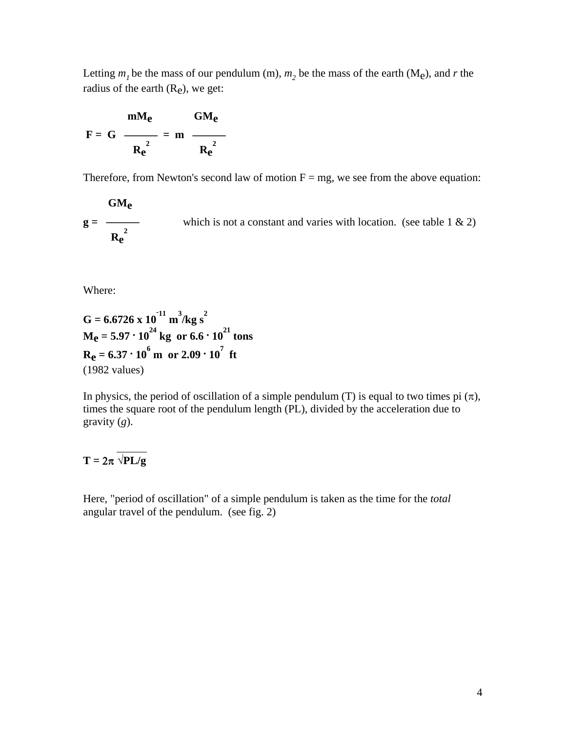Letting  $m_1$  be the mass of our pendulum (m),  $m_2$  be the mass of the earth (M<sub>e</sub>), and *r* the radius of the earth  $(R_e)$ , we get:

$$
F = G \frac{mM_e}{R_e^2} = m \frac{GM_e}{R_e^2}
$$

Therefore, from Newton's second law of motion  $F = mg$ , we see from the above equation:

 **GMe** which is not a constant and varies with location. (see table  $1 \& 2$ )  $R_e^2$ 

Where:

$$
G = 6.6726 \times 10^{-11} \text{ m}^3/\text{kg s}^2
$$
  
M<sub>e</sub> = 5.97 \cdot 10<sup>24</sup> kg or 6.6 \cdot 10<sup>21</sup> tons  
R<sub>e</sub> = 6.37 \cdot 10<sup>6</sup> m or 2.09 \cdot 10<sup>7</sup> ft  
(1982 values)

In physics, the period of oscillation of a simple pendulum (T) is equal to two times pi  $(\pi)$ , times the square root of the pendulum length (PL), divided by the acceleration due to gravity (*g*).

## - 1990 - 1990 - 1990 - 1990 - 1990 - 1990 - 1990 - 1990 - 1990 - 1990 - 1990 - 1990 - 1990 - 1990 - 1990 - 199<br>1991 - 1992 - 1992 - 1992 - 1992 - 1992 - 1992 - 1992 - 1992 - 1992 - 1992 - 1992 - 1992 - 1992 - 1992 - 1992<br>1  $T = 2\pi \sqrt{PL/g}$

Here, "period of oscillation" of a simple pendulum is taken as the time for the *total* angular travel of the pendulum. (see fig. 2)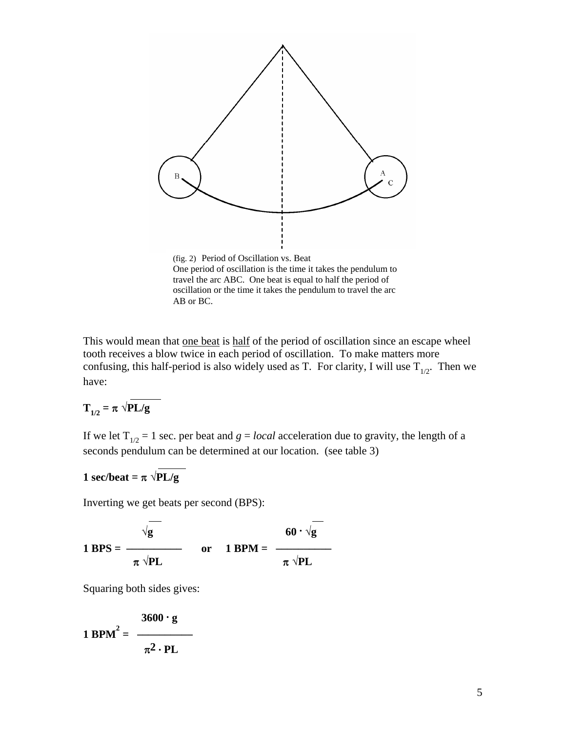

oscillation or the time it takes the pendulum to travel the arc AB or BC.

This would mean that one beat is half of the period of oscillation since an escape wheel tooth receives a blow twice in each period of oscillation. To make matters more confusing, this half-period is also widely used as T. For clarity, I will use  $T_{1/2}$ . Then we have: and the company of the company of the company of the company of the company of the company of the company of the company of the company of the company of the company of the company of the company of the company of the comp

$$
T_{1/2} = \pi \sqrt{PL/g}
$$

If we let  $T_{1/2} = 1$  sec. per beat and  $g = local acceleration$  due to gravity, the length of a seconds pendulum can be determined at our location. (see table 3)

### **1** sec/beat =  $\pi \sqrt{PL/g}$

Inverting we get beats per second (BPS):  $-$  -  $-$ 

 $60 \cdot \sqrt{g}$ **1 BPS =**  $\frac{}{\pi \sqrt{PL}}$  **or 1 BPM =**  $\pi \sqrt{\text{PL}}$ 

Squaring both sides gives:

$$
1 \text{ BPM}^2 = \frac{3600 \cdot \text{g}}{\pi^2 \cdot \text{PL}}
$$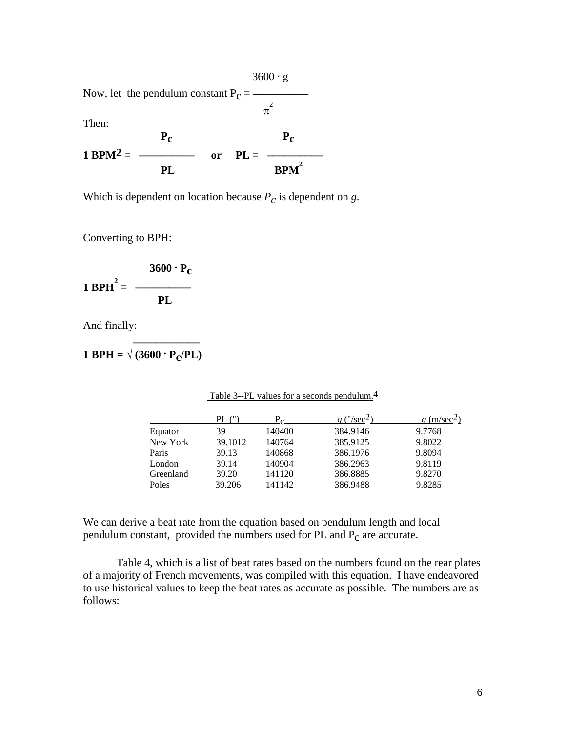$3600 \cdot g$ Now, let the pendulum constant  $P_C =$ π  $\pi^2$ Then:  **Pc Pc 1 BPM<sup>2</sup> =**  $\frac{1000 \text{ eV}}{1000 \text{ eV}} = 1000 \text{ eV}$ **PL** BPM<sup>2</sup>

Which is dependent on location because  $P_c$  is dependent on *g*.

Converting to BPH:

$$
1 \text{ BPH}^2 = \frac{3600 \cdot P_C}{PL}
$$

And finally:  **\_\_\_\_\_\_\_\_\_\_\_\_-**

$$
1 \text{ BPH} = \sqrt{(3600 \cdot P_{\text{C}}/PL)}
$$

| PL ("   | $\sim$ | $\frac{m}{\text{sec}2}$ | $g$ (m/sec <sup>2</sup> ) |
|---------|--------|-------------------------|---------------------------|
| 39      | 140400 | 384.9146                | 9.7768                    |
| 39.1012 | 140764 | 385.9125                | 9.8022                    |
| 39.13   | 140868 | 386.1976                | 9.8094                    |
| 39.14   | 140904 | 386.2963                | 9.8119                    |
| 39.20   | 141120 | 386.8885                | 9.8270                    |
| 39.206  | 141142 | 386.9488                | 9.8285                    |
|         |        |                         |                           |

Table 3--PL values for a seconds pendulum.<sup>4</sup>

We can derive a beat rate from the equation based on pendulum length and local pendulum constant, provided the numbers used for PL and Pc are accurate.

 Table 4, which is a list of beat rates based on the numbers found on the rear plates of a majority of French movements, was compiled with this equation. I have endeavored to use historical values to keep the beat rates as accurate as possible. The numbers are as follows: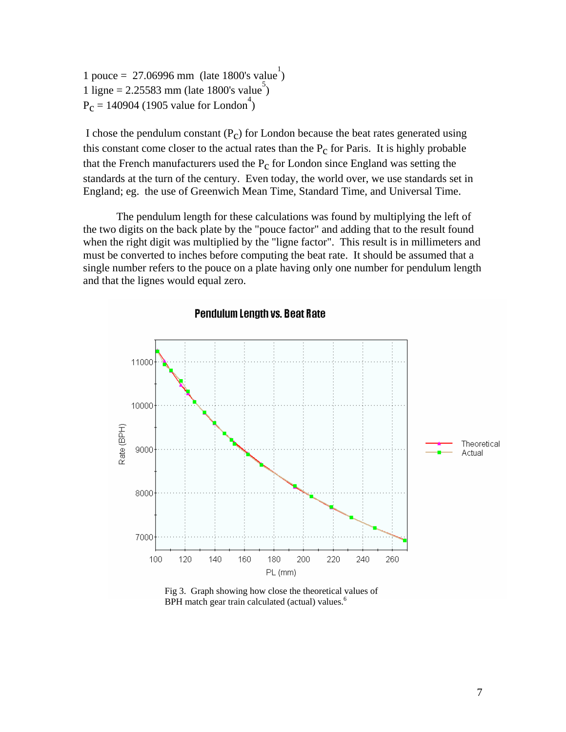1 pouce = 27.06996 mm (late 1800's value<sup>1</sup>)  $1$  ligne = 2.25583 mm (late 1800's value)  $P_c = 140904$  (1905 value for London<sup>4</sup>)

I chose the pendulum constant  $(P_c)$  for London because the beat rates generated using this constant come closer to the actual rates than the  $P_c$  for Paris. It is highly probable that the French manufacturers used the  $P_c$  for London since England was setting the standards at the turn of the century. Even today, the world over, we use standards set in England; eg. the use of Greenwich Mean Time, Standard Time, and Universal Time.

 The pendulum length for these calculations was found by multiplying the left of the two digits on the back plate by the "pouce factor" and adding that to the result found when the right digit was multiplied by the "ligne factor". This result is in millimeters and must be converted to inches before computing the beat rate. It should be assumed that a single number refers to the pouce on a plate having only one number for pendulum length and that the lignes would equal zero.





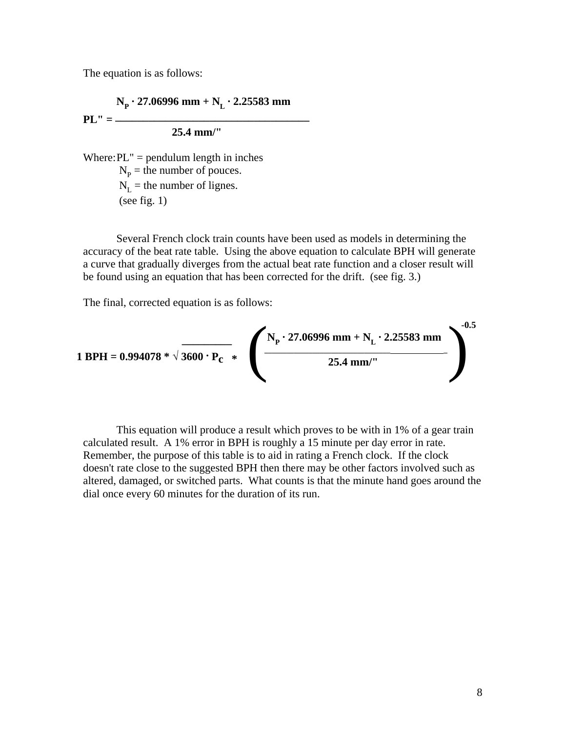The equation is as follows:

 $N_p \cdot 27.06996$  mm +  $N_L \cdot 2.25583$  mm

**PL" = \_\_\_\_\_\_\_\_\_\_\_\_\_\_\_\_\_\_\_\_\_\_\_\_\_\_\_\_\_\_\_\_\_\_\_**

 **25.4 mm/"** 

Where:  $PL'' =$  pendulum length in inches  $N_p$  = the number of pouces.  $N<sub>L</sub>$  = the number of lignes. (see fig.  $1$ )

 Several French clock train counts have been used as models in determining the accuracy of the beat rate table. Using the above equation to calculate BPH will generate a curve that gradually diverges from the actual beat rate function and a closer result will be found using an equation that has been corrected for the drift. (see fig. 3.)

The final, corrected equation is as follows:

1 BPH = 0.994078 \* 
$$
\sqrt{3600 \cdot P_C}
$$
 \*  $\left(\frac{N_P \cdot 27.06996 \text{ mm} + N_L \cdot 2.25583 \text{ mm}}{25.4 \text{ mm}''}\right)^{-0.5}$ 

 This equation will produce a result which proves to be with in 1% of a gear train calculated result. A 1% error in BPH is roughly a 15 minute per day error in rate. Remember, the purpose of this table is to aid in rating a French clock. If the clock doesn't rate close to the suggested BPH then there may be other factors involved such as altered, damaged, or switched parts. What counts is that the minute hand goes around the dial once every 60 minutes for the duration of its run.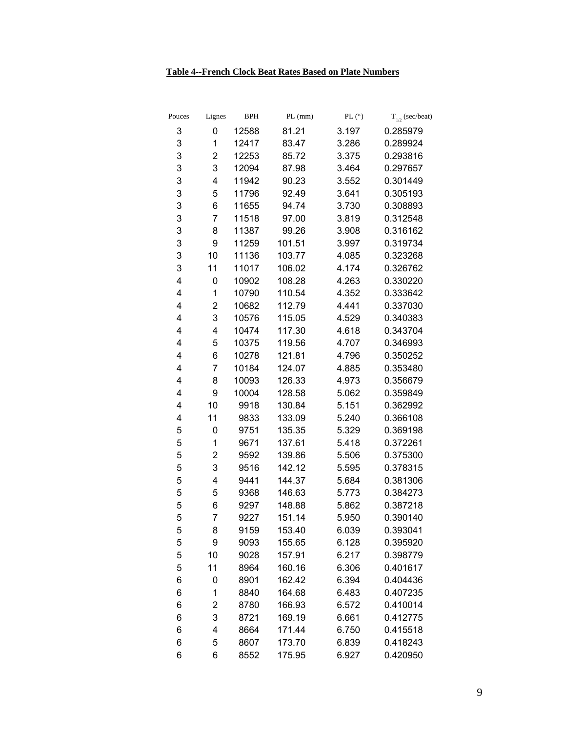### **Table 4--French Clock Beat Rates Based on Plate Numbers**

| Pouces<br>Lignes    | <b>BPH</b> | $PL$ (mm) | PL (°) | $T_{1/2}$ (sec/beat) |
|---------------------|------------|-----------|--------|----------------------|
| 3<br>0              | 12588      | 81.21     | 3.197  | 0.285979             |
| 3<br>1              | 12417      | 83.47     | 3.286  | 0.289924             |
| 3<br>2              | 12253      | 85.72     | 3.375  | 0.293816             |
| 3<br>3              | 12094      | 87.98     | 3.464  | 0.297657             |
| 3<br>4              | 11942      | 90.23     | 3.552  | 0.301449             |
| 3<br>5              | 11796      | 92.49     | 3.641  | 0.305193             |
| 3<br>6              | 11655      | 94.74     | 3.730  | 0.308893             |
| 3<br>7              | 11518      | 97.00     | 3.819  | 0.312548             |
| 3<br>8              | 11387      | 99.26     | 3.908  | 0.316162             |
| 3<br>9              | 11259      | 101.51    | 3.997  | 0.319734             |
| 3<br>10             | 11136      | 103.77    | 4.085  | 0.323268             |
| 3<br>11             | 11017      | 106.02    | 4.174  | 0.326762             |
| 4<br>0              | 10902      | 108.28    | 4.263  | 0.330220             |
| 4<br>1              | 10790      | 110.54    | 4.352  | 0.333642             |
| 4<br>$\overline{c}$ | 10682      | 112.79    | 4.441  | 0.337030             |
| 4<br>3              | 10576      | 115.05    | 4.529  | 0.340383             |
| 4<br>4              | 10474      | 117.30    | 4.618  | 0.343704             |
| 4<br>5              | 10375      | 119.56    | 4.707  | 0.346993             |
| 4<br>6              | 10278      | 121.81    | 4.796  | 0.350252             |
| 4<br>7              | 10184      | 124.07    | 4.885  | 0.353480             |
| 4<br>8              | 10093      | 126.33    | 4.973  | 0.356679             |
| 4<br>9              | 10004      | 128.58    | 5.062  | 0.359849             |
| 4<br>10             | 9918       | 130.84    | 5.151  | 0.362992             |
| 4<br>11             | 9833       | 133.09    | 5.240  | 0.366108             |
| 5<br>0              | 9751       | 135.35    | 5.329  | 0.369198             |
| 5<br>1              | 9671       | 137.61    | 5.418  | 0.372261             |
| 5<br>2              | 9592       | 139.86    | 5.506  | 0.375300             |
| 5<br>3              | 9516       | 142.12    | 5.595  | 0.378315             |
| 5<br>4              | 9441       | 144.37    | 5.684  | 0.381306             |
| 5<br>5              | 9368       | 146.63    | 5.773  | 0.384273             |
| 5<br>6              | 9297       | 148.88    | 5.862  | 0.387218             |
| 5<br>7              | 9227       | 151.14    | 5.950  | 0.390140             |
| 8<br>5              | 9159       | 153.40    | 6.039  | 0.393041             |
| 5<br>9              | 9093       | 155.65    | 6.128  | 0.395920             |
| 5<br>10             | 9028       | 157.91    | 6.217  | 0.398779             |
| 5<br>11             | 8964       | 160.16    | 6.306  | 0.401617             |
| 6<br>0              | 8901       | 162.42    | 6.394  | 0.404436             |
| 6<br>1              | 8840       | 164.68    | 6.483  | 0.407235             |
| 2<br>6              | 8780       | 166.93    | 6.572  | 0.410014             |
| 6<br>3              | 8721       | 169.19    | 6.661  | 0.412775             |
| 4<br>6              | 8664       | 171.44    | 6.750  | 0.415518             |
| 6<br>5              | 8607       | 173.70    | 6.839  | 0.418243             |
| 6<br>6              | 8552       | 175.95    | 6.927  | 0.420950             |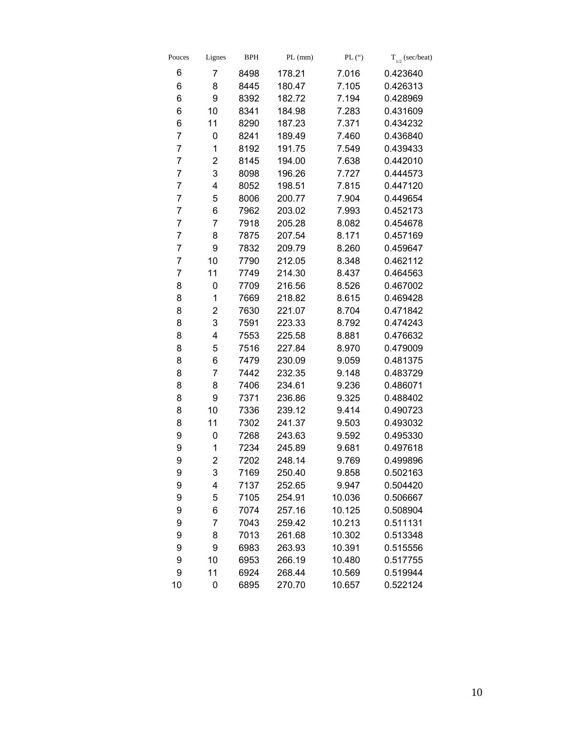| Pouces | Lignes         | <b>BPH</b> | $PL$ (mm) | PL $($ ") | $T_{1/2}$ (sec/beat) |
|--------|----------------|------------|-----------|-----------|----------------------|
| 6      | 7              | 8498       | 178.21    | 7.016     | 0.423640             |
| 6      | 8              | 8445       | 180.47    | 7.105     | 0.426313             |
| 6      | 9              | 8392       | 182.72    | 7.194     | 0.428969             |
| 6      | 10             | 8341       | 184.98    | 7.283     | 0.431609             |
| 6      | 11             | 8290       | 187.23    | 7.371     | 0.434232             |
| 7      | 0              | 8241       | 189.49    | 7.460     | 0.436840             |
| 7      | 1              | 8192       | 191.75    | 7.549     | 0.439433             |
| 7      | $\overline{c}$ | 8145       | 194.00    | 7.638     | 0.442010             |
| 7      | 3              | 8098       | 196.26    | 7.727     | 0.444573             |
| 7      | 4              | 8052       | 198.51    | 7.815     | 0.447120             |
| 7      | 5              | 8006       | 200.77    | 7.904     | 0.449654             |
| 7      | 6              | 7962       | 203.02    | 7.993     | 0.452173             |
| 7      | 7              | 7918       | 205.28    | 8.082     | 0.454678             |
| 7      | 8              | 7875       | 207.54    | 8.171     | 0.457169             |
| 7      | 9              | 7832       | 209.79    | 8.260     | 0.459647             |
| 7      | 10             | 7790       | 212.05    | 8.348     | 0.462112             |
| 7      | 11             | 7749       | 214.30    | 8.437     | 0.464563             |
| 8      | 0              | 7709       | 216.56    | 8.526     | 0.467002             |
| 8      | 1              | 7669       | 218.82    | 8.615     | 0.469428             |
| 8      | $\overline{c}$ | 7630       | 221.07    | 8.704     | 0.471842             |
| 8      | 3              | 7591       | 223.33    | 8.792     | 0.474243             |
| 8      | 4              | 7553       | 225.58    | 8.881     | 0.476632             |
| 8      | 5              | 7516       | 227.84    | 8.970     | 0.479009             |
| 8      | 6              | 7479       | 230.09    | 9.059     | 0.481375             |
| 8      | 7              | 7442       | 232.35    | 9.148     | 0.483729             |
| 8      | 8              | 7406       | 234.61    | 9.236     | 0.486071             |
| 8      | 9              | 7371       | 236.86    | 9.325     | 0.488402             |
| 8      | 10             | 7336       | 239.12    | 9.414     | 0.490723             |
| 8      | 11             | 7302       | 241.37    | 9.503     | 0.493032             |
| 9      | 0              | 7268       | 243.63    | 9.592     | 0.495330             |
| 9      | 1              | 7234       | 245.89    | 9.681     | 0.497618             |
| 9      | 2              | 7202       | 248.14    | 9.769     | 0.499896             |
| 9      | 3              | 7169       | 250.40    | 9.858     | 0.502163             |
| 9      | 4              | 7137       | 252.65    | 9.947     | 0.504420             |
| 9      | 5              | 7105       | 254.91    | 10.036    | 0.506667             |
| 9      | 6              | 7074       | 257.16    | 10.125    | 0.508904             |
| 9      | 7              | 7043       | 259.42    | 10.213    | 0.511131             |
| 9      | 8              | 7013       | 261.68    | 10.302    | 0.513348             |
| 9      | 9              | 6983       | 263.93    | 10.391    | 0.515556             |
| 9      | 10             | 6953       | 266.19    | 10.480    | 0.517755             |
| 9      | 11             | 6924       | 268.44    | 10.569    | 0.519944             |
| 10     | 0              | 6895       | 270.70    | 10.657    | 0.522124             |